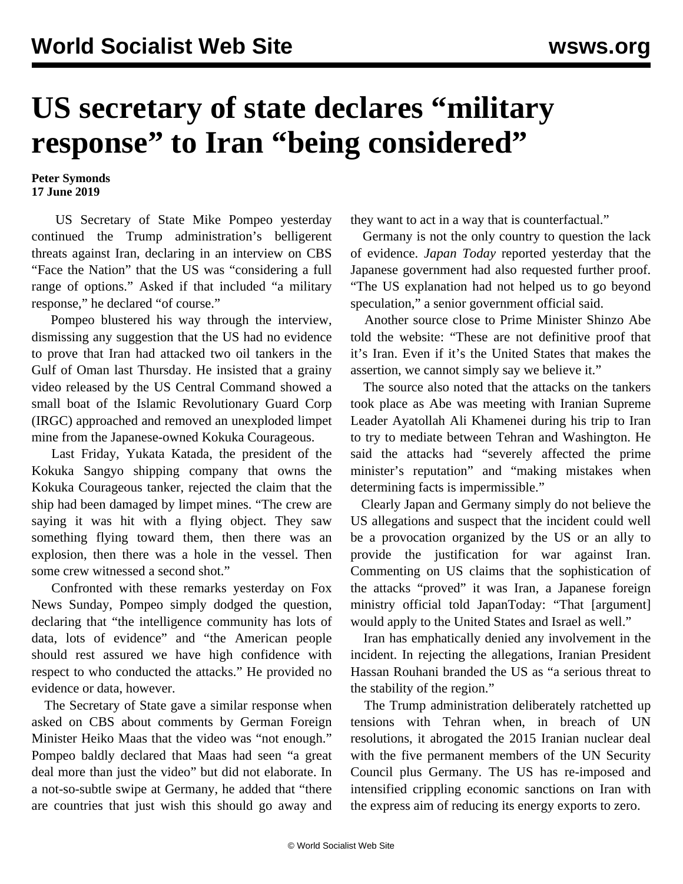## **US secretary of state declares "military response" to Iran "being considered"**

## **Peter Symonds 17 June 2019**

 US Secretary of State Mike Pompeo yesterday continued the Trump administration's belligerent threats against Iran, declaring in an interview on CBS "Face the Nation" that the US was "considering a full range of options." Asked if that included "a military response," he declared "of course."

 Pompeo blustered his way through the interview, dismissing any suggestion that the US had no evidence to prove that Iran had attacked two oil tankers in the Gulf of Oman last Thursday. He insisted that a grainy video released by the US Central Command showed a small boat of the Islamic Revolutionary Guard Corp (IRGC) approached and removed an unexploded limpet mine from the Japanese-owned Kokuka Courageous.

 Last Friday, Yukata Katada, the president of the Kokuka Sangyo shipping company that owns the Kokuka Courageous tanker, rejected the claim that the ship had been damaged by limpet mines. "The crew are saying it was hit with a flying object. They saw something flying toward them, then there was an explosion, then there was a hole in the vessel. Then some crew witnessed a second shot."

 Confronted with these remarks yesterday on Fox News Sunday, Pompeo simply dodged the question, declaring that "the intelligence community has lots of data, lots of evidence" and "the American people should rest assured we have high confidence with respect to who conducted the attacks." He provided no evidence or data, however.

 The Secretary of State gave a similar response when asked on CBS about comments by German Foreign Minister Heiko Maas that the video was "not enough." Pompeo baldly declared that Maas had seen "a great deal more than just the video" but did not elaborate. In a not-so-subtle swipe at Germany, he added that "there are countries that just wish this should go away and they want to act in a way that is counterfactual."

 Germany is not the only country to question the lack of evidence. *Japan Today* reported yesterday that the Japanese government had also requested further proof. "The US explanation had not helped us to go beyond speculation," a senior government official said.

 Another source close to Prime Minister Shinzo Abe told the website: "These are not definitive proof that it's Iran. Even if it's the United States that makes the assertion, we cannot simply say we believe it."

 The source also noted that the attacks on the tankers took place as Abe was meeting with Iranian Supreme Leader Ayatollah Ali Khamenei during his trip to Iran to try to mediate between Tehran and Washington. He said the attacks had "severely affected the prime minister's reputation" and "making mistakes when determining facts is impermissible."

 Clearly Japan and Germany simply do not believe the US allegations and suspect that the incident could well be a provocation organized by the US or an ally to provide the justification for war against Iran. Commenting on US claims that the sophistication of the attacks "proved" it was Iran, a Japanese foreign ministry official told JapanToday: "That [argument] would apply to the United States and Israel as well."

 Iran has emphatically denied any involvement in the incident. In rejecting the allegations, Iranian President Hassan Rouhani branded the US as "a serious threat to the stability of the region."

 The Trump administration deliberately ratchetted up tensions with Tehran when, in breach of UN resolutions, it abrogated the 2015 Iranian nuclear deal with the five permanent members of the UN Security Council plus Germany. The US has re-imposed and intensified crippling economic sanctions on Iran with the express aim of reducing its energy exports to zero.